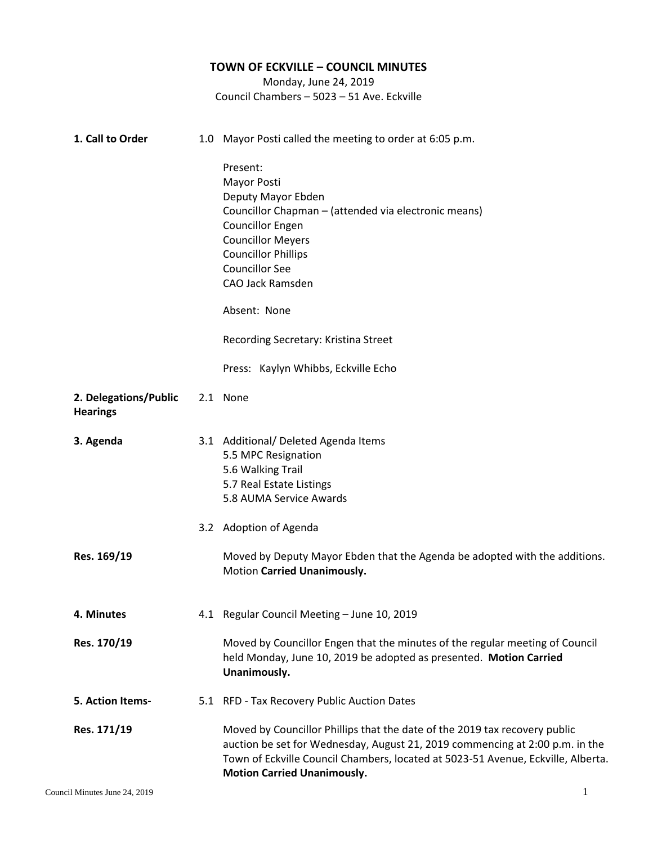## **TOWN OF ECKVILLE – COUNCIL MINUTES** Monday, June 24, 2019 Council Chambers – 5023 – 51 Ave. Eckville **1. Call to Order** 1.0 Mayor Posti called the meeting to order at 6:05 p.m. Present: Mayor Posti Deputy Mayor Ebden Councillor Chapman – (attended via electronic means) Councillor Engen Councillor Meyers Councillor Phillips Councillor See CAO Jack Ramsden Absent: None Recording Secretary: Kristina Street Press: Kaylyn Whibbs, Eckville Echo 2. **2. Delegations/Public Hearings** 2.1 None **3. 3. Agenda Res. 169/19** 3.1 Additional/ Deleted Agenda Items 3.2 Adoption of Agenda 5.5 MPC Resignation 5.6 Walking Trail 5.7 Real Estate Listings 5.8 AUMA Service Awards Moved by Deputy Mayor Ebden that the Agenda be adopted with the additions. Motion **Carried Unanimously. 4. 4. Minutes Res. 170/19** 4.1 Regular Council Meeting – June 10, 2019 Moved by Councillor Engen that the minutes of the regular meeting of Council held Monday, June 10, 2019 be adopted as presented. **Motion Carried Unanimously. 5. Action Items-Res. 171/19** 5.1 RFD - Tax Recovery Public Auction Dates Moved by Councillor Phillips that the date of the 2019 tax recovery public auction be set for Wednesday, August 21, 2019 commencing at 2:00 p.m. in the Town of Eckville Council Chambers, located at 5023-51 Avenue, Eckville, Alberta. **Motion Carried Unanimously.**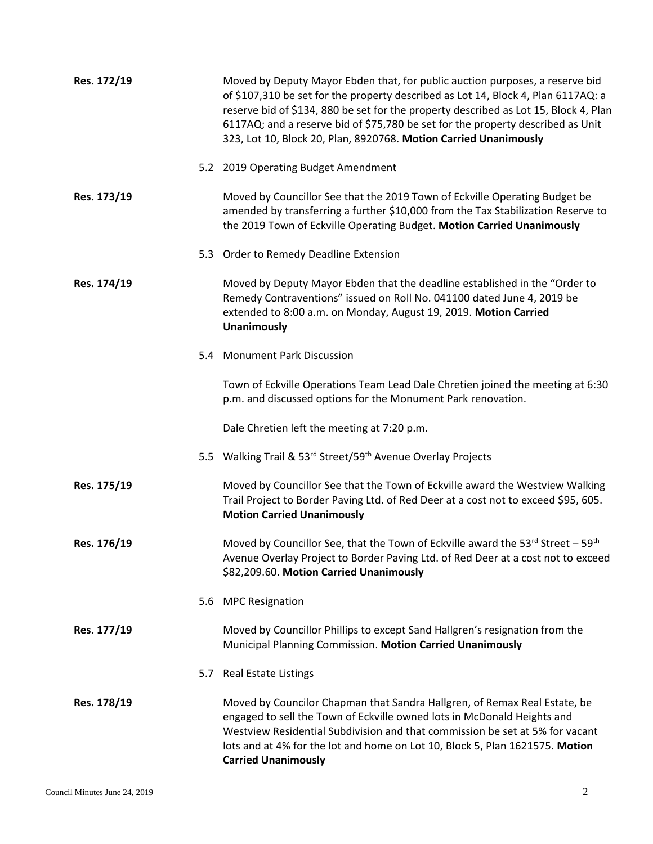| Res. 172/19 |     | Moved by Deputy Mayor Ebden that, for public auction purposes, a reserve bid<br>of \$107,310 be set for the property described as Lot 14, Block 4, Plan 6117AQ: a<br>reserve bid of \$134, 880 be set for the property described as Lot 15, Block 4, Plan<br>6117AQ; and a reserve bid of \$75,780 be set for the property described as Unit<br>323, Lot 10, Block 20, Plan, 8920768. Motion Carried Unanimously |
|-------------|-----|------------------------------------------------------------------------------------------------------------------------------------------------------------------------------------------------------------------------------------------------------------------------------------------------------------------------------------------------------------------------------------------------------------------|
|             |     | 5.2 2019 Operating Budget Amendment                                                                                                                                                                                                                                                                                                                                                                              |
| Res. 173/19 |     | Moved by Councillor See that the 2019 Town of Eckville Operating Budget be<br>amended by transferring a further \$10,000 from the Tax Stabilization Reserve to<br>the 2019 Town of Eckville Operating Budget. Motion Carried Unanimously                                                                                                                                                                         |
|             |     | 5.3 Order to Remedy Deadline Extension                                                                                                                                                                                                                                                                                                                                                                           |
| Res. 174/19 |     | Moved by Deputy Mayor Ebden that the deadline established in the "Order to<br>Remedy Contraventions" issued on Roll No. 041100 dated June 4, 2019 be<br>extended to 8:00 a.m. on Monday, August 19, 2019. Motion Carried<br><b>Unanimously</b>                                                                                                                                                                   |
|             |     | 5.4 Monument Park Discussion                                                                                                                                                                                                                                                                                                                                                                                     |
|             |     | Town of Eckville Operations Team Lead Dale Chretien joined the meeting at 6:30<br>p.m. and discussed options for the Monument Park renovation.                                                                                                                                                                                                                                                                   |
|             |     | Dale Chretien left the meeting at 7:20 p.m.                                                                                                                                                                                                                                                                                                                                                                      |
|             |     | 5.5 Walking Trail & 53rd Street/59th Avenue Overlay Projects                                                                                                                                                                                                                                                                                                                                                     |
| Res. 175/19 |     | Moved by Councillor See that the Town of Eckville award the Westview Walking<br>Trail Project to Border Paving Ltd. of Red Deer at a cost not to exceed \$95, 605.<br><b>Motion Carried Unanimously</b>                                                                                                                                                                                                          |
| Res. 176/19 |     | Moved by Councillor See, that the Town of Eckville award the $53^{rd}$ Street - $59^{th}$<br>Avenue Overlay Project to Border Paving Ltd. of Red Deer at a cost not to exceed<br>\$82,209.60. Motion Carried Unanimously                                                                                                                                                                                         |
|             |     | 5.6 MPC Resignation                                                                                                                                                                                                                                                                                                                                                                                              |
| Res. 177/19 |     | Moved by Councillor Phillips to except Sand Hallgren's resignation from the<br>Municipal Planning Commission. Motion Carried Unanimously                                                                                                                                                                                                                                                                         |
|             | 5.7 | <b>Real Estate Listings</b>                                                                                                                                                                                                                                                                                                                                                                                      |
| Res. 178/19 |     | Moved by Councilor Chapman that Sandra Hallgren, of Remax Real Estate, be<br>engaged to sell the Town of Eckville owned lots in McDonald Heights and<br>Westview Residential Subdivision and that commission be set at 5% for vacant<br>lots and at 4% for the lot and home on Lot 10, Block 5, Plan 1621575. Motion<br><b>Carried Unanimously</b>                                                               |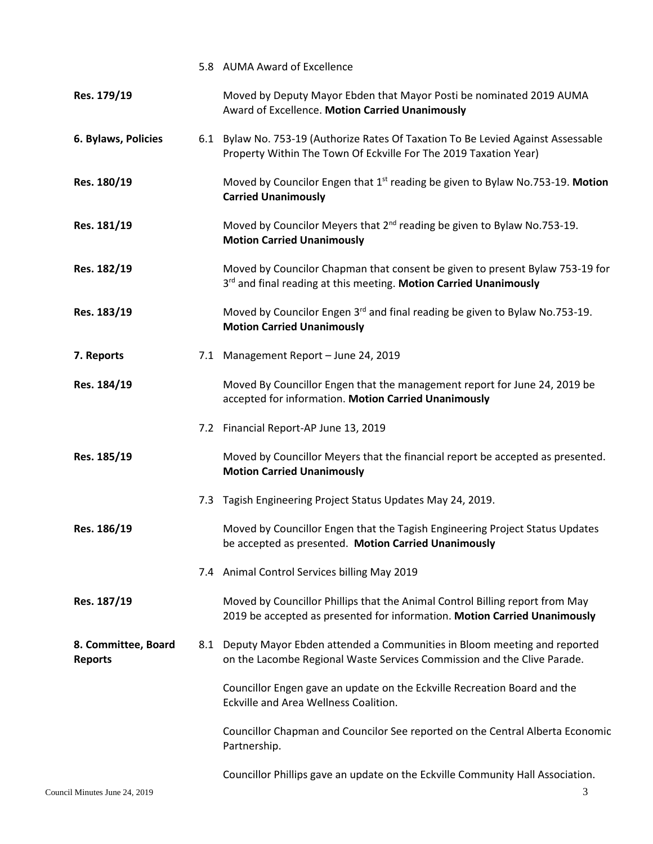|                                       | 5.8 AUMA Award of Excellence                                                                                                                              |
|---------------------------------------|-----------------------------------------------------------------------------------------------------------------------------------------------------------|
| Res. 179/19                           | Moved by Deputy Mayor Ebden that Mayor Posti be nominated 2019 AUMA<br>Award of Excellence. Motion Carried Unanimously                                    |
| 6. Bylaws, Policies                   | 6.1 Bylaw No. 753-19 (Authorize Rates Of Taxation To Be Levied Against Assessable<br>Property Within The Town Of Eckville For The 2019 Taxation Year)     |
| Res. 180/19                           | Moved by Councilor Engen that 1 <sup>st</sup> reading be given to Bylaw No.753-19. Motion<br><b>Carried Unanimously</b>                                   |
| Res. 181/19                           | Moved by Councilor Meyers that 2 <sup>nd</sup> reading be given to Bylaw No.753-19.<br><b>Motion Carried Unanimously</b>                                  |
| Res. 182/19                           | Moved by Councilor Chapman that consent be given to present Bylaw 753-19 for<br>3rd and final reading at this meeting. Motion Carried Unanimously         |
| Res. 183/19                           | Moved by Councilor Engen 3rd and final reading be given to Bylaw No.753-19.<br><b>Motion Carried Unanimously</b>                                          |
| 7. Reports                            | 7.1 Management Report - June 24, 2019                                                                                                                     |
| Res. 184/19                           | Moved By Councillor Engen that the management report for June 24, 2019 be<br>accepted for information. Motion Carried Unanimously                         |
|                                       | 7.2 Financial Report-AP June 13, 2019                                                                                                                     |
| Res. 185/19                           | Moved by Councillor Meyers that the financial report be accepted as presented.<br><b>Motion Carried Unanimously</b>                                       |
|                                       | 7.3 Tagish Engineering Project Status Updates May 24, 2019.                                                                                               |
| Res. 186/19                           | Moved by Councillor Engen that the Tagish Engineering Project Status Updates<br>be accepted as presented. Motion Carried Unanimously                      |
|                                       | 7.4 Animal Control Services billing May 2019                                                                                                              |
| Res. 187/19                           | Moved by Councillor Phillips that the Animal Control Billing report from May<br>2019 be accepted as presented for information. Motion Carried Unanimously |
| 8. Committee, Board<br><b>Reports</b> | 8.1 Deputy Mayor Ebden attended a Communities in Bloom meeting and reported<br>on the Lacombe Regional Waste Services Commission and the Clive Parade.    |
|                                       | Councillor Engen gave an update on the Eckville Recreation Board and the<br>Eckville and Area Wellness Coalition.                                         |
|                                       | Councillor Chapman and Councilor See reported on the Central Alberta Economic<br>Partnership.                                                             |
|                                       | Councillor Phillips gave an update on the Eckville Community Hall Association.                                                                            |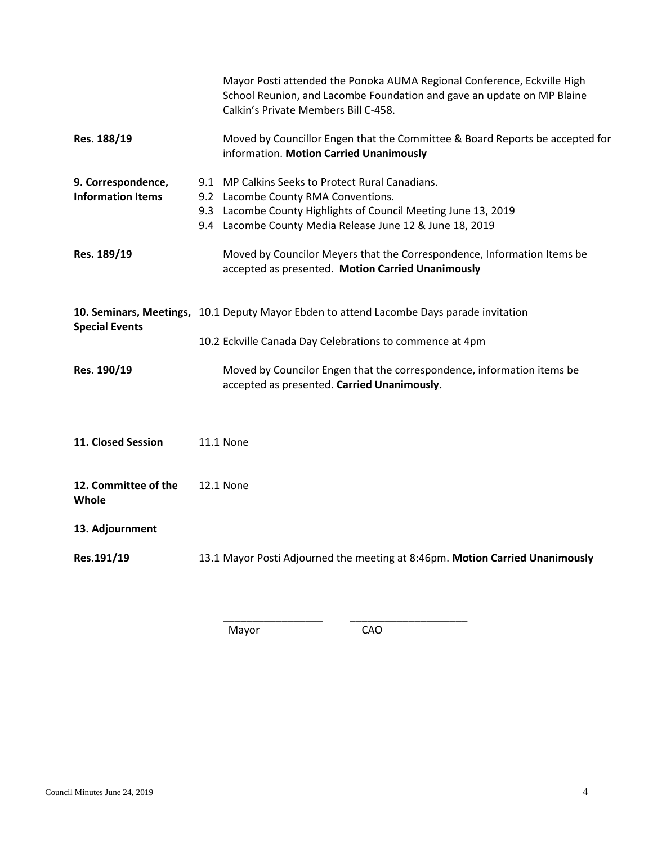|                                                | Mayor Posti attended the Ponoka AUMA Regional Conference, Eckville High<br>School Reunion, and Lacombe Foundation and gave an update on MP Blaine<br>Calkin's Private Members Bill C-458.                             |
|------------------------------------------------|-----------------------------------------------------------------------------------------------------------------------------------------------------------------------------------------------------------------------|
| Res. 188/19                                    | Moved by Councillor Engen that the Committee & Board Reports be accepted for<br>information. Motion Carried Unanimously                                                                                               |
| 9. Correspondence,<br><b>Information Items</b> | 9.1 MP Calkins Seeks to Protect Rural Canadians.<br>9.2 Lacombe County RMA Conventions.<br>9.3 Lacombe County Highlights of Council Meeting June 13, 2019<br>9.4 Lacombe County Media Release June 12 & June 18, 2019 |
| Res. 189/19                                    | Moved by Councilor Meyers that the Correspondence, Information Items be<br>accepted as presented. Motion Carried Unanimously                                                                                          |
| <b>Special Events</b>                          | 10. Seminars, Meetings, 10.1 Deputy Mayor Ebden to attend Lacombe Days parade invitation<br>10.2 Eckville Canada Day Celebrations to commence at 4pm                                                                  |
| Res. 190/19                                    | Moved by Councilor Engen that the correspondence, information items be<br>accepted as presented. Carried Unanimously.                                                                                                 |
| 11. Closed Session                             | <b>11.1 None</b>                                                                                                                                                                                                      |
| 12. Committee of the<br>Whole                  | <b>12.1 None</b>                                                                                                                                                                                                      |
| 13. Adjournment                                |                                                                                                                                                                                                                       |
| Res.191/19                                     | 13.1 Mayor Posti Adjourned the meeting at 8:46pm. Motion Carried Unanimously                                                                                                                                          |

Mayor CAO

\_\_\_\_\_\_\_\_\_\_\_\_\_\_\_\_\_ \_\_\_\_\_\_\_\_\_\_\_\_\_\_\_\_\_\_\_\_